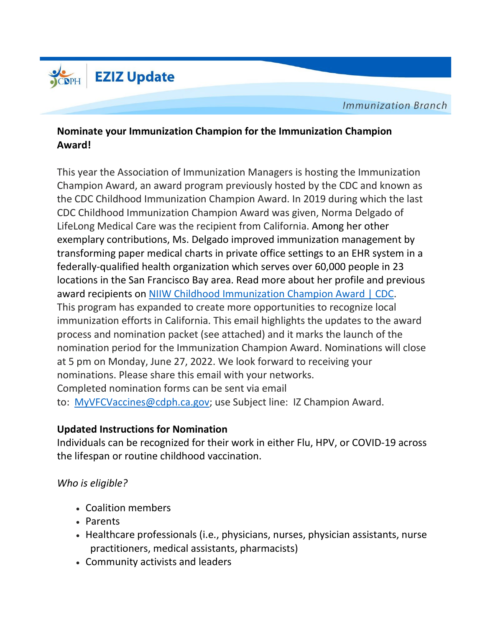

**Immunization Branch** 

## **Nominate your Immunization Champion for the Immunization Champion Award!**

This year the Association of Immunization Managers is hosting the Immunization Champion Award, an award program previously hosted by the CDC and known as the CDC Childhood Immunization Champion Award. In 2019 during which the last CDC Childhood Immunization Champion Award was given, Norma Delgado of LifeLong Medical Care was the recipient from California. Among her other exemplary contributions, Ms. Delgado improved immunization management by transforming paper medical charts in private office settings to an EHR system in a federally-qualified health organization which serves over 60,000 people in 23 locations in the San Francisco Bay area. Read more about her profile and previous award recipients on NIIW Childhood [Immunization](https://urldefense.com/v3/__https:/www.cdc.gov/vaccines/events/niiw/champions/index.html__;!!AvL6XA!3b-En72cGJFnCPqyB3VwEf5C--FndM6r8KPbItr2FXh1mrLqjuaoysp_UlRxFAQQwxnBrS0nB-Bh9oItfW5Q4FA386LM1zrge0gxJvFC$) Champion Award | CDC. This program has expanded to create more opportunities to recognize local immunization efforts in California. This email highlights the updates to the award process and nomination packet (see attached) and it marks the launch of the nomination period for the Immunization Champion Award. Nominations will close at 5 pm on Monday, June 27, 2022. We look forward to receiving your nominations. Please share this email with your networks. Completed nomination forms can be sent via email to: [MyVFCVaccines@cdph.ca.gov;](mailto:MyVFCVaccines@cdph.ca.gov) use Subject line: IZ Champion Award.

## **Updated Instructions for Nomination**

Individuals can be recognized for their work in either Flu, HPV, or COVID-19 across the lifespan or routine childhood vaccination.

## *Who is eligible?*

- Coalition members
- Parents
- Healthcare professionals (i.e., physicians, nurses, physician assistants, nurse practitioners, medical assistants, pharmacists)
- Community activists and leaders